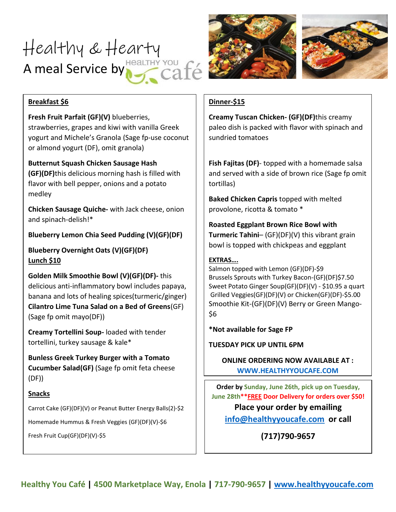# Healthy & Hearty A meal Service by HealTHY YOU f





# **Breakfast \$6**

**Fresh Fruit Parfait (GF)(V)** blueberries, strawberries, grapes and kiwi with vanilla Greek yogurt and Michele's Granola (Sage fp-use coconut or almond yogurt (DF), omit granola)

**Butternut Squash Chicken Sausage Hash (GF)(DF)**this delicious morning hash is filled with flavor with bell pepper, onions and a potato medley

**Chicken Sausage Quiche-** with Jack cheese, onion and spinach-delish!\*

# **Blueberry Lemon Chia Seed Pudding (V)(GF)(DF)**

**Blueberry Overnight Oats (V)(GF)(DF) Lunch \$10**

**Golden Milk Smoothie Bowl (V)(GF)(DF)-** this delicious anti-inflammatory bowl includes papaya, banana and lots of healing spices(turmeric/ginger) **Cilantro Lime Tuna Salad on a Bed of Greens**(GF) (Sage fp omit mayo(DF))

**Creamy Tortellini Soup-** loaded with tender tortellini, turkey sausage & kale\*

**Bunless Greek Turkey Burger with a Tomato Cucumber Salad(GF)** (Sage fp omit feta cheese (DF))

## **Snacks**

Carrot Cake (GF)(DF)(V) or Peanut Butter Energy Balls(2)-\$2

Homemade Hummus & Fresh Veggies (GF)(DF)(V)-\$6

Fresh Fruit Cup(GF)(DF)(V)-\$5

## **Dinner-\$15**

**Creamy Tuscan Chicken- (GF)(DF)**this creamy paleo dish is packed with flavor with spinach and sundried tomatoes

**Fish Fajitas (DF)**- topped with a homemade salsa and served with a side of brown rice (Sage fp omit tortillas)

**Baked Chicken Capris** topped with melted provolone, ricotta & tomato \*

**Roasted Eggplant Brown Rice Bowl with Turmeric Tahini**– (GF)(DF)(V) this vibrant grain bowl is topped with chickpeas and eggplant

# **EXTRAS….**

Salmon topped with Lemon (GF)(DF)-\$9 Brussels Sprouts with Turkey Bacon-(GF)(DF)\$7.50 Sweet Potato Ginger Soup(GF)(DF)(V) - \$10.95 a quart Grilled Veggies(GF)(DF)(V) or Chicken(GF)(DF)-\$5.00 Smoothie Kit-(GF)(DF)(V) Berry or Green Mango- \$6

**\*Not available for Sage FP**

**TUESDAY PICK UP UNTIL 6PM**

**ONLINE ORDERING NOW AVAILABLE AT : [WWW.HEALTHYYOUCAFE.COM](http://www.healthyyoucafe.com/)**

**Order by Sunday, June 26th, pick up on Tuesday, June 28th\*\*FREE Door Delivery for orders over \$50!** 

**Place your order by emailing [info@healthyyoucafe.com](mailto:info@healthyyoucafe.com) or call** 

# **(717)790-9657**